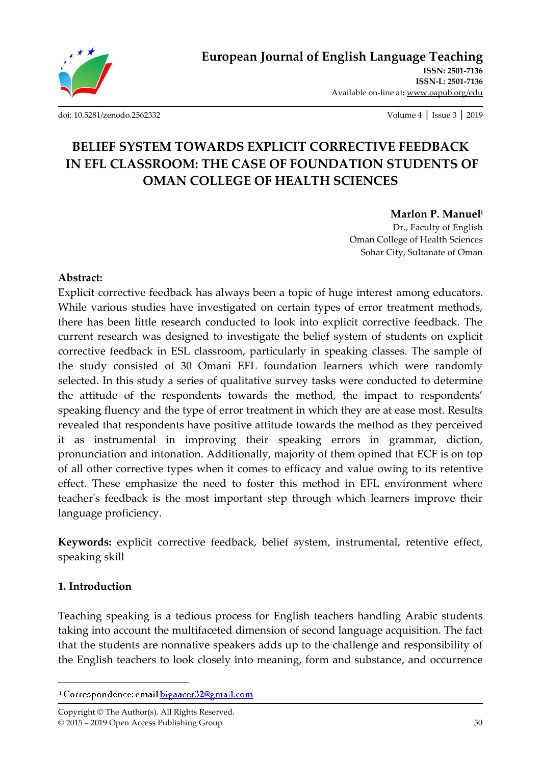

[doi: 10.5281/zenodo.2562332](http://dx.doi.org/10.5281/zenodo.2562332) Volume 4 │ Issue 3 │ 2019

# **BELIEF SYSTEM TOWARDS EXPLICIT CORRECTIVE FEEDBACK IN EFL CLASSROOM: THE CASE OF FOUNDATION STUDENTS OF OMAN COLLEGE OF HEALTH SCIENCES**

### **Marlon P. Manuel<sup>i</sup>**

Dr., Faculty of English Oman College of Health Sciences Sohar City, Sultanate of Oman

#### **Abstract:**

Explicit corrective feedback has always been a topic of huge interest among educators. While various studies have investigated on certain types of error treatment methods, there has been little research conducted to look into explicit corrective feedback. The current research was designed to investigate the belief system of students on explicit corrective feedback in ESL classroom, particularly in speaking classes. The sample of the study consisted of 30 Omani EFL foundation learners which were randomly selected. In this study a series of qualitative survey tasks were conducted to determine the attitude of the respondents towards the method, the impact to respondents' speaking fluency and the type of error treatment in which they are at ease most. Results revealed that respondents have positive attitude towards the method as they perceived it as instrumental in improving their speaking errors in grammar, diction, pronunciation and intonation. Additionally, majority of them opined that ECF is on top of all other corrective types when it comes to efficacy and value owing to its retentive effect. These emphasize the need to foster this method in EFL environment where teacher's feedback is the most important step through which learners improve their language proficiency.

**Keywords:** explicit corrective feedback, belief system, instrumental, retentive effect, speaking skill

### **1. Introduction**

 $\overline{\phantom{a}}$ 

Teaching speaking is a tedious process for English teachers handling Arabic students taking into account the multifaceted dimension of second language acquisition. The fact that the students are nonnative speakers adds up to the challenge and responsibility of the English teachers to look closely into meaning, form and substance, and occurrence

<sup>&</sup>lt;sup>1</sup> Correspondence: email bigaacer32@gmail.com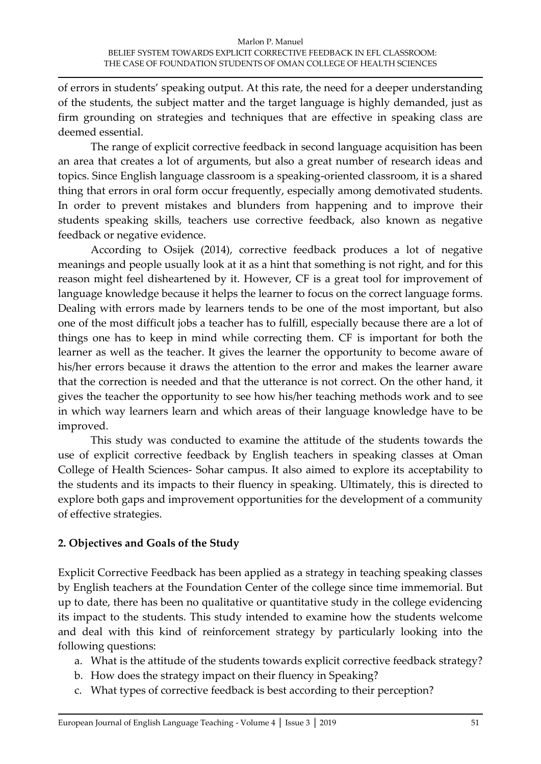of errors in students' speaking output. At this rate, the need for a deeper understanding of the students, the subject matter and the target language is highly demanded, just as firm grounding on strategies and techniques that are effective in speaking class are deemed essential.

The range of explicit corrective feedback in second language acquisition has been an area that creates a lot of arguments, but also a great number of research ideas and topics. Since English language classroom is a speaking-oriented classroom, it is a shared thing that errors in oral form occur frequently, especially among demotivated students. In order to prevent mistakes and blunders from happening and to improve their students speaking skills, teachers use corrective feedback, also known as negative feedback or negative evidence.

According to Osijek (2014), corrective feedback produces a lot of negative meanings and people usually look at it as a hint that something is not right, and for this reason might feel disheartened by it. However, CF is a great tool for improvement of language knowledge because it helps the learner to focus on the correct language forms. Dealing with errors made by learners tends to be one of the most important, but also one of the most difficult jobs a teacher has to fulfill, especially because there are a lot of things one has to keep in mind while correcting them. CF is important for both the learner as well as the teacher. It gives the learner the opportunity to become aware of his/her errors because it draws the attention to the error and makes the learner aware that the correction is needed and that the utterance is not correct. On the other hand, it gives the teacher the opportunity to see how his/her teaching methods work and to see in which way learners learn and which areas of their language knowledge have to be improved.

This study was conducted to examine the attitude of the students towards the use of explicit corrective feedback by English teachers in speaking classes at Oman College of Health Sciences- Sohar campus. It also aimed to explore its acceptability to the students and its impacts to their fluency in speaking. Ultimately, this is directed to explore both gaps and improvement opportunities for the development of a community of effective strategies.

# **2. Objectives and Goals of the Study**

Explicit Corrective Feedback has been applied as a strategy in teaching speaking classes by English teachers at the Foundation Center of the college since time immemorial. But up to date, there has been no qualitative or quantitative study in the college evidencing its impact to the students. This study intended to examine how the students welcome and deal with this kind of reinforcement strategy by particularly looking into the following questions:

- a. What is the attitude of the students towards explicit corrective feedback strategy?
- b. How does the strategy impact on their fluency in Speaking?
- c. What types of corrective feedback is best according to their perception?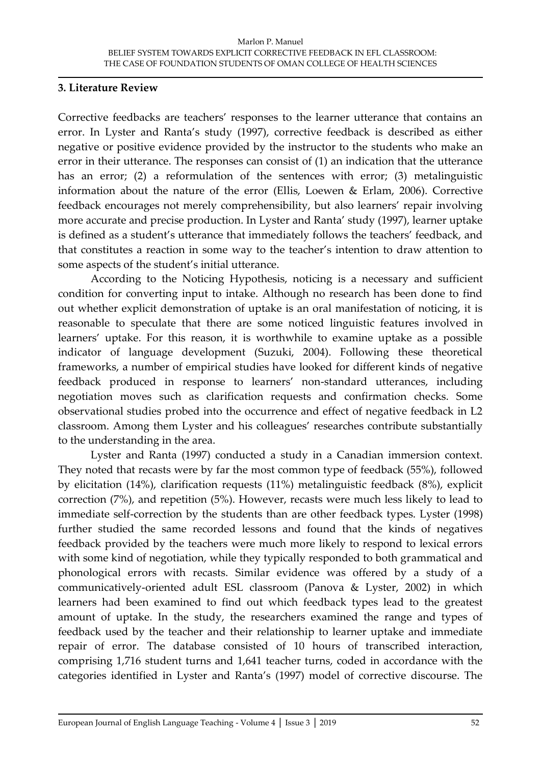#### **3. Literature Review**

Corrective feedbacks are teachers' responses to the learner utterance that contains an error. In Lyster and Ranta's study (1997), corrective feedback is described as either negative or positive evidence provided by the instructor to the students who make an error in their utterance. The responses can consist of (1) an indication that the utterance has an error; (2) a reformulation of the sentences with error; (3) metalinguistic information about the nature of the error (Ellis, Loewen & Erlam, 2006). Corrective feedback encourages not merely comprehensibility, but also learners' repair involving more accurate and precise production. In Lyster and Ranta' study (1997), learner uptake is defined as a student's utterance that immediately follows the teachers' feedback, and that constitutes a reaction in some way to the teacher's intention to draw attention to some aspects of the student's initial utterance.

According to the Noticing Hypothesis, noticing is a necessary and sufficient condition for converting input to intake. Although no research has been done to find out whether explicit demonstration of uptake is an oral manifestation of noticing, it is reasonable to speculate that there are some noticed linguistic features involved in learners' uptake. For this reason, it is worthwhile to examine uptake as a possible indicator of language development (Suzuki, 2004). Following these theoretical frameworks, a number of empirical studies have looked for different kinds of negative feedback produced in response to learners' non-standard utterances, including negotiation moves such as clarification requests and confirmation checks. Some observational studies probed into the occurrence and effect of negative feedback in L2 classroom. Among them Lyster and his colleagues' researches contribute substantially to the understanding in the area.

Lyster and Ranta (1997) conducted a study in a Canadian immersion context. They noted that recasts were by far the most common type of feedback (55%), followed by elicitation (14%), clarification requests (11%) metalinguistic feedback (8%), explicit correction (7%), and repetition (5%). However, recasts were much less likely to lead to immediate self-correction by the students than are other feedback types. Lyster (1998) further studied the same recorded lessons and found that the kinds of negatives feedback provided by the teachers were much more likely to respond to lexical errors with some kind of negotiation, while they typically responded to both grammatical and phonological errors with recasts. Similar evidence was offered by a study of a communicatively-oriented adult ESL classroom (Panova & Lyster, 2002) in which learners had been examined to find out which feedback types lead to the greatest amount of uptake. In the study, the researchers examined the range and types of feedback used by the teacher and their relationship to learner uptake and immediate repair of error. The database consisted of 10 hours of transcribed interaction, comprising 1,716 student turns and 1,641 teacher turns, coded in accordance with the categories identified in Lyster and Ranta's (1997) model of corrective discourse. The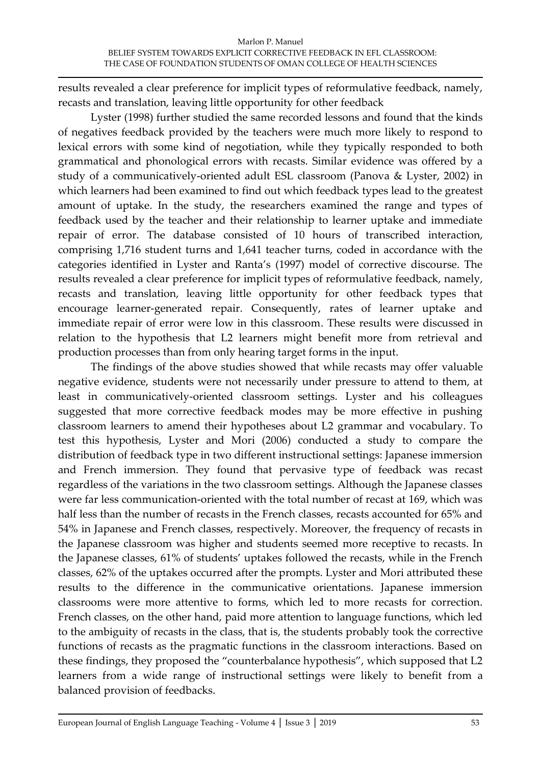results revealed a clear preference for implicit types of reformulative feedback, namely, recasts and translation, leaving little opportunity for other feedback

Lyster (1998) further studied the same recorded lessons and found that the kinds of negatives feedback provided by the teachers were much more likely to respond to lexical errors with some kind of negotiation, while they typically responded to both grammatical and phonological errors with recasts. Similar evidence was offered by a study of a communicatively-oriented adult ESL classroom (Panova & Lyster, 2002) in which learners had been examined to find out which feedback types lead to the greatest amount of uptake. In the study, the researchers examined the range and types of feedback used by the teacher and their relationship to learner uptake and immediate repair of error. The database consisted of 10 hours of transcribed interaction, comprising 1,716 student turns and 1,641 teacher turns, coded in accordance with the categories identified in Lyster and Ranta's (1997) model of corrective discourse. The results revealed a clear preference for implicit types of reformulative feedback, namely, recasts and translation, leaving little opportunity for other feedback types that encourage learner-generated repair. Consequently, rates of learner uptake and immediate repair of error were low in this classroom. These results were discussed in relation to the hypothesis that L2 learners might benefit more from retrieval and production processes than from only hearing target forms in the input.

The findings of the above studies showed that while recasts may offer valuable negative evidence, students were not necessarily under pressure to attend to them, at least in communicatively-oriented classroom settings. Lyster and his colleagues suggested that more corrective feedback modes may be more effective in pushing classroom learners to amend their hypotheses about L2 grammar and vocabulary. To test this hypothesis, Lyster and Mori (2006) conducted a study to compare the distribution of feedback type in two different instructional settings: Japanese immersion and French immersion. They found that pervasive type of feedback was recast regardless of the variations in the two classroom settings. Although the Japanese classes were far less communication-oriented with the total number of recast at 169, which was half less than the number of recasts in the French classes, recasts accounted for 65% and 54% in Japanese and French classes, respectively. Moreover, the frequency of recasts in the Japanese classroom was higher and students seemed more receptive to recasts. In the Japanese classes, 61% of students' uptakes followed the recasts, while in the French classes, 62% of the uptakes occurred after the prompts. Lyster and Mori attributed these results to the difference in the communicative orientations. Japanese immersion classrooms were more attentive to forms, which led to more recasts for correction. French classes, on the other hand, paid more attention to language functions, which led to the ambiguity of recasts in the class, that is, the students probably took the corrective functions of recasts as the pragmatic functions in the classroom interactions. Based on these findings, they proposed the "counterbalance hypothesis", which supposed that L2 learners from a wide range of instructional settings were likely to benefit from a balanced provision of feedbacks.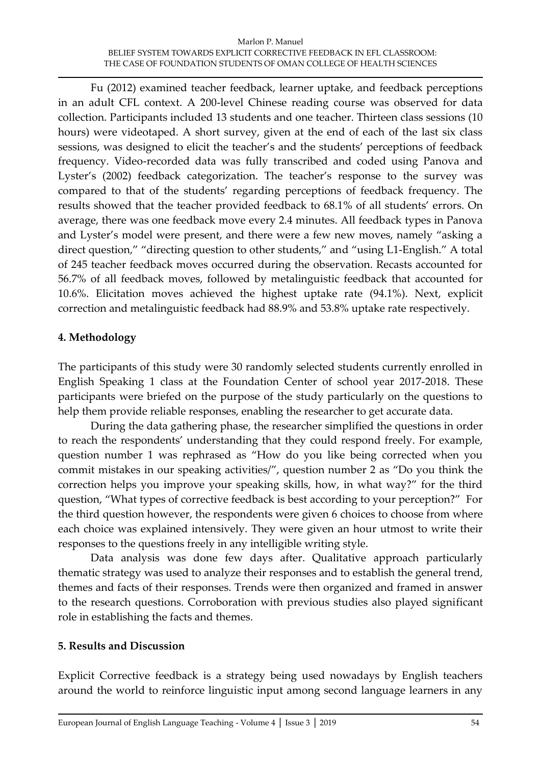Fu (2012) examined teacher feedback, learner uptake, and feedback perceptions in an adult CFL context. A 200-level Chinese reading course was observed for data collection. Participants included 13 students and one teacher. Thirteen class sessions (10 hours) were videotaped. A short survey, given at the end of each of the last six class sessions, was designed to elicit the teacher's and the students' perceptions of feedback frequency. Video-recorded data was fully transcribed and coded using Panova and Lyster's (2002) feedback categorization. The teacher's response to the survey was compared to that of the students' regarding perceptions of feedback frequency. The results showed that the teacher provided feedback to 68.1% of all students' errors. On average, there was one feedback move every 2.4 minutes. All feedback types in Panova and Lyster's model were present, and there were a few new moves, namely "asking a direct question," "directing question to other students," and "using L1-English." A total of 245 teacher feedback moves occurred during the observation. Recasts accounted for 56.7% of all feedback moves, followed by metalinguistic feedback that accounted for 10.6%. Elicitation moves achieved the highest uptake rate (94.1%). Next, explicit correction and metalinguistic feedback had 88.9% and 53.8% uptake rate respectively.

# **4. Methodology**

The participants of this study were 30 randomly selected students currently enrolled in English Speaking 1 class at the Foundation Center of school year 2017-2018. These participants were briefed on the purpose of the study particularly on the questions to help them provide reliable responses, enabling the researcher to get accurate data.

During the data gathering phase, the researcher simplified the questions in order to reach the respondents' understanding that they could respond freely. For example, question number 1 was rephrased as "How do you like being corrected when you commit mistakes in our speaking activities/", question number 2 as "Do you think the correction helps you improve your speaking skills, how, in what way?" for the third question, "What types of corrective feedback is best according to your perception?" For the third question however, the respondents were given 6 choices to choose from where each choice was explained intensively. They were given an hour utmost to write their responses to the questions freely in any intelligible writing style.

Data analysis was done few days after. Qualitative approach particularly thematic strategy was used to analyze their responses and to establish the general trend, themes and facts of their responses. Trends were then organized and framed in answer to the research questions. Corroboration with previous studies also played significant role in establishing the facts and themes.

# **5. Results and Discussion**

Explicit Corrective feedback is a strategy being used nowadays by English teachers around the world to reinforce linguistic input among second language learners in any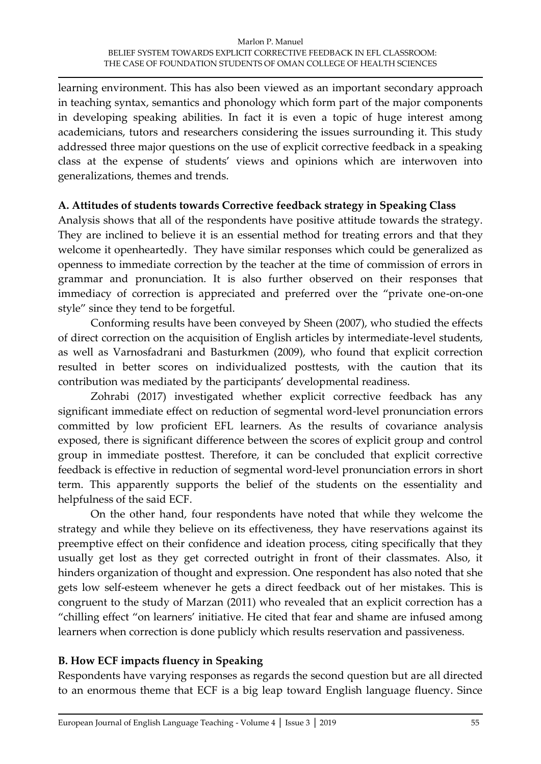learning environment. This has also been viewed as an important secondary approach in teaching syntax, semantics and phonology which form part of the major components in developing speaking abilities. In fact it is even a topic of huge interest among academicians, tutors and researchers considering the issues surrounding it. This study addressed three major questions on the use of explicit corrective feedback in a speaking class at the expense of students' views and opinions which are interwoven into generalizations, themes and trends.

### **A. Attitudes of students towards Corrective feedback strategy in Speaking Class**

Analysis shows that all of the respondents have positive attitude towards the strategy. They are inclined to believe it is an essential method for treating errors and that they welcome it openheartedly. They have similar responses which could be generalized as openness to immediate correction by the teacher at the time of commission of errors in grammar and pronunciation. It is also further observed on their responses that immediacy of correction is appreciated and preferred over the "private one-on-one style" since they tend to be forgetful.

Conforming results have been conveyed by Sheen (2007), who studied the effects of direct correction on the acquisition of English articles by intermediate-level students, as well as Varnosfadrani and Basturkmen (2009), who found that explicit correction resulted in better scores on individualized posttests, with the caution that its contribution was mediated by the participants' developmental readiness.

Zohrabi (2017) investigated whether explicit corrective feedback has any significant immediate effect on reduction of segmental word-level pronunciation errors committed by low proficient EFL learners. As the results of covariance analysis exposed, there is significant difference between the scores of explicit group and control group in immediate posttest. Therefore, it can be concluded that explicit corrective feedback is effective in reduction of segmental word-level pronunciation errors in short term. This apparently supports the belief of the students on the essentiality and helpfulness of the said ECF.

On the other hand, four respondents have noted that while they welcome the strategy and while they believe on its effectiveness, they have reservations against its preemptive effect on their confidence and ideation process, citing specifically that they usually get lost as they get corrected outright in front of their classmates. Also, it hinders organization of thought and expression. One respondent has also noted that she gets low self-esteem whenever he gets a direct feedback out of her mistakes. This is congruent to the study of Marzan (2011) who revealed that an explicit correction has a "chilling effect "on learners' initiative. He cited that fear and shame are infused among learners when correction is done publicly which results reservation and passiveness.

# **B. How ECF impacts fluency in Speaking**

Respondents have varying responses as regards the second question but are all directed to an enormous theme that ECF is a big leap toward English language fluency. Since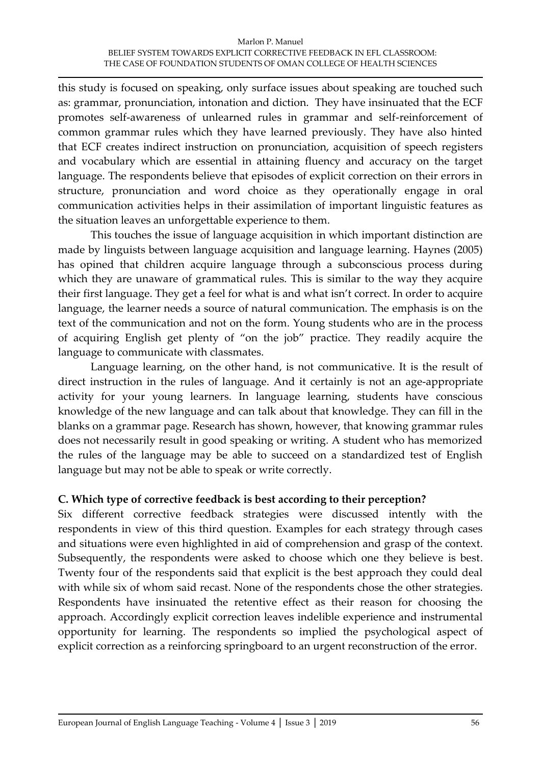this study is focused on speaking, only surface issues about speaking are touched such as: grammar, pronunciation, intonation and diction. They have insinuated that the ECF promotes self-awareness of unlearned rules in grammar and self-reinforcement of common grammar rules which they have learned previously. They have also hinted that ECF creates indirect instruction on pronunciation, acquisition of speech registers and vocabulary which are essential in attaining fluency and accuracy on the target language. The respondents believe that episodes of explicit correction on their errors in structure, pronunciation and word choice as they operationally engage in oral communication activities helps in their assimilation of important linguistic features as the situation leaves an unforgettable experience to them.

This touches the issue of language acquisition in which important distinction are made by linguists between language acquisition and language learning. Haynes (2005) has opined that children acquire language through a subconscious process during which they are unaware of grammatical rules. This is similar to the way they acquire their first language. They get a feel for what is and what isn't correct. In order to acquire language, the learner needs a source of natural communication. The emphasis is on the text of the communication and not on the form. Young students who are in the process of acquiring English get plenty of "on the job" practice. They readily acquire the language to communicate with classmates.

Language learning, on the other hand, is not communicative. It is the result of direct instruction in the rules of language. And it certainly is not an age-appropriate activity for your young learners. In language learning, students have conscious knowledge of the new language and can talk about that knowledge. They can fill in the blanks on a grammar page. Research has shown, however, that knowing grammar rules does not necessarily result in good speaking or writing. A student who has memorized the rules of the language may be able to succeed on a standardized test of English language but may not be able to speak or write correctly.

# **C. Which type of corrective feedback is best according to their perception?**

Six different corrective feedback strategies were discussed intently with the respondents in view of this third question. Examples for each strategy through cases and situations were even highlighted in aid of comprehension and grasp of the context. Subsequently, the respondents were asked to choose which one they believe is best. Twenty four of the respondents said that explicit is the best approach they could deal with while six of whom said recast. None of the respondents chose the other strategies. Respondents have insinuated the retentive effect as their reason for choosing the approach. Accordingly explicit correction leaves indelible experience and instrumental opportunity for learning. The respondents so implied the psychological aspect of explicit correction as a reinforcing springboard to an urgent reconstruction of the error.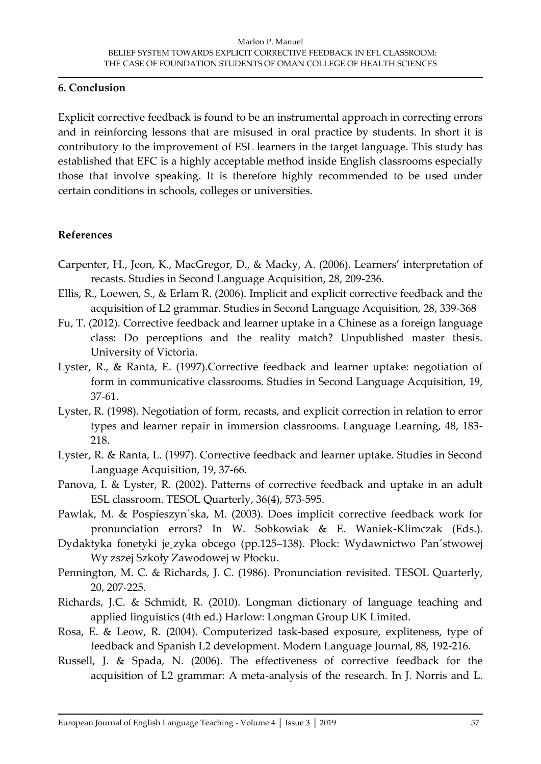#### **6. Conclusion**

Explicit corrective feedback is found to be an instrumental approach in correcting errors and in reinforcing lessons that are misused in oral practice by students. In short it is contributory to the improvement of ESL learners in the target language. This study has established that EFC is a highly acceptable method inside English classrooms especially those that involve speaking. It is therefore highly recommended to be used under certain conditions in schools, colleges or universities.

### **References**

- Carpenter, H., Jeon, K., MacGregor, D., & Macky, A. (2006). Learners' interpretation of recasts. Studies in Second Language Acquisition, 28, 209-236.
- Ellis, R., Loewen, S., & Erlam R. (2006). Implicit and explicit corrective feedback and the acquisition of L2 grammar. Studies in Second Language Acquisition, 28, 339-368
- Fu, T. (2012). Corrective feedback and learner uptake in a Chinese as a foreign language class: Do perceptions and the reality match? Unpublished master thesis. University of Victoria.
- Lyster, R., & Ranta, E. (1997).Corrective feedback and learner uptake: negotiation of form in communicative classrooms. Studies in Second Language Acquisition, 19, 37-61.
- Lyster, R. (1998). Negotiation of form, recasts, and explicit correction in relation to error types and learner repair in immersion classrooms. Language Learning, 48, 183- 218.
- Lyster, R. & Ranta, L. (1997). Corrective feedback and learner uptake. Studies in Second Language Acquisition, 19, 37-66.
- Panova, I. & Lyster, R. (2002). Patterns of corrective feedback and uptake in an adult ESL classroom. TESOL Quarterly, 36(4), 573-595.
- Pawlak, M. & Pospieszyn´ska, M. (2003). Does implicit corrective feedback work for pronunciation errors? In W. Sobkowiak & E. Waniek-Klimczak (Eds.).
- Dydaktyka fonetyki je˛zyka obcego (pp.125–138). Płock: Wydawnictwo Pan´stwowej Wy zszej Szkoły Zawodowej w Płocku.
- Pennington, M. C. & Richards, J. C. (1986). Pronunciation revisited. TESOL Quarterly, 20, 207-225.
- Richards, J.C. & Schmidt, R. (2010). Longman dictionary of language teaching and applied linguistics (4th ed.) Harlow: Longman Group UK Limited.
- Rosa, E. & Leow, R. (2004). Computerized task-based exposure, expliteness, type of feedback and Spanish L2 development. Modern Language Journal, 88, 192-216.
- Russell, J. & Spada, N. (2006). The effectiveness of corrective feedback for the acquisition of L2 grammar: A meta-analysis of the research. In J. Norris and L.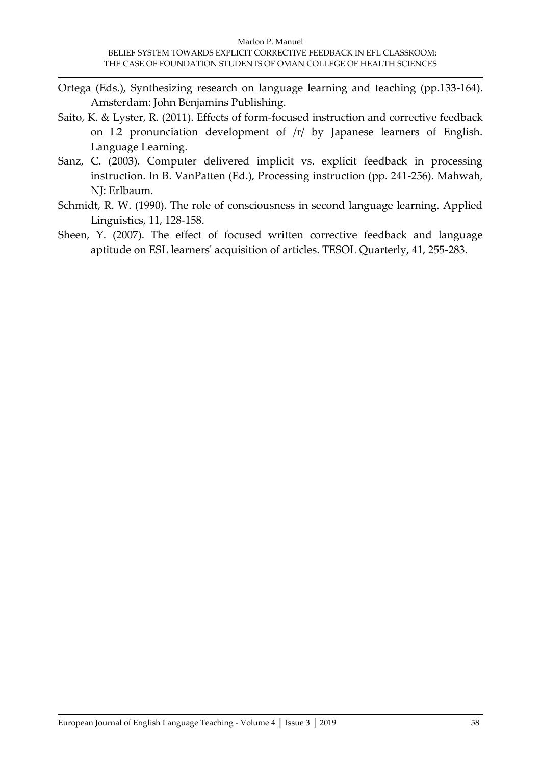- Ortega (Eds.), Synthesizing research on language learning and teaching (pp.133-164). Amsterdam: John Benjamins Publishing.
- Saito, K. & Lyster, R. (2011). Effects of form-focused instruction and corrective feedback on L2 pronunciation development of /r/ by Japanese learners of English. Language Learning.
- Sanz, C. (2003). Computer delivered implicit vs. explicit feedback in processing instruction. In B. VanPatten (Ed.), Processing instruction (pp. 241-256). Mahwah, NJ: Erlbaum.
- Schmidt, R. W. (1990). The role of consciousness in second language learning. Applied Linguistics, 11, 128-158.
- Sheen, Y. (2007). The effect of focused written corrective feedback and language aptitude on ESL learners' acquisition of articles. TESOL Quarterly, 41, 255-283.